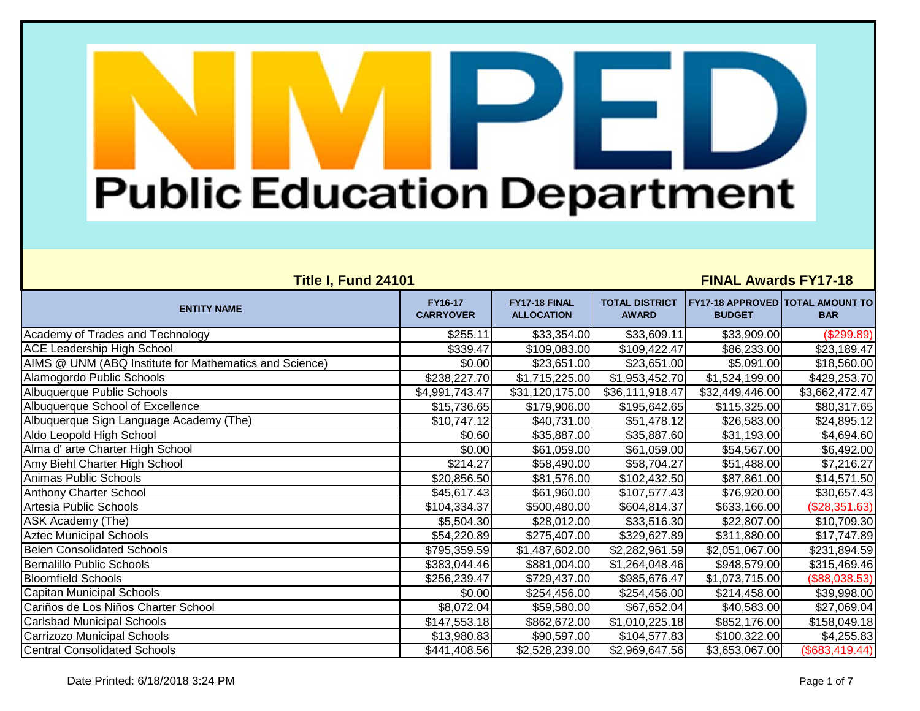| <b>Title I, Fund 24101</b>                             |                             |                                    |                                       | <b>FINAL Awards FY17-18</b>                              |                |
|--------------------------------------------------------|-----------------------------|------------------------------------|---------------------------------------|----------------------------------------------------------|----------------|
| <b>ENTITY NAME</b>                                     | FY16-17<br><b>CARRYOVER</b> | FY17-18 FINAL<br><b>ALLOCATION</b> | <b>TOTAL DISTRICT</b><br><b>AWARD</b> | <b>FY17-18 APPROVED TOTAL AMOUNT TO</b><br><b>BUDGET</b> | <b>BAR</b>     |
| Academy of Trades and Technology                       | \$255.11                    | \$33,354.00                        | \$33,609.11                           | \$33,909.00                                              | (\$299.89)     |
| <b>ACE Leadership High School</b>                      | \$339.47                    | \$109,083.00                       | \$109,422.47                          | \$86,233.00                                              | \$23,189.47    |
| AIMS @ UNM (ABQ Institute for Mathematics and Science) | \$0.00                      | \$23,651.00                        | \$23,651.00                           | \$5,091.00                                               | \$18,560.00    |
| Alamogordo Public Schools                              | \$238,227.70                | \$1,715,225.00                     | \$1,953,452.70                        | \$1,524,199.00                                           | \$429,253.70   |
| Albuquerque Public Schools                             | \$4,991,743.47              | \$31,120,175.00                    | \$36,111,918.47                       | \$32,449,446.00                                          | \$3,662,472.47 |
| Albuquerque School of Excellence                       | \$15,736.65                 | \$179,906.00                       | \$195,642.65                          | \$115,325.00                                             | \$80,317.65    |
| Albuquerque Sign Language Academy (The)                | \$10,747.12                 | \$40,731.00                        | \$51,478.12                           | \$26,583.00                                              | \$24,895.12    |
| Aldo Leopold High School                               | \$0.60                      | \$35,887.00                        | \$35,887.60                           | \$31,193.00                                              | \$4,694.60     |
| Alma d' arte Charter High School                       | \$0.00                      | \$61,059.00                        | \$61,059.00                           | \$54,567.00                                              | \$6,492.00     |
| Amy Biehl Charter High School                          | \$214.27                    | \$58,490.00                        | \$58,704.27                           | \$51,488.00                                              | \$7,216.27     |
| Animas Public Schools                                  | \$20,856.50                 | \$81,576.00                        | \$102,432.50                          | \$87,861.00                                              | \$14,571.50    |
| <b>Anthony Charter School</b>                          | \$45,617.43                 | \$61,960.00                        | \$107,577.43                          | \$76,920.00                                              | \$30,657.43    |
| Artesia Public Schools                                 | \$104,334.37                | \$500,480.00                       | \$604,814.37                          | \$633,166.00                                             | (\$28,351.63)  |
| ASK Academy (The)                                      | \$5,504.30                  | \$28,012.00                        | \$33,516.30                           | \$22,807.00                                              | \$10,709.30    |
| <b>Aztec Municipal Schools</b>                         | \$54,220.89                 | \$275,407.00                       | \$329,627.89                          | \$311,880.00                                             | \$17,747.89    |
| <b>Belen Consolidated Schools</b>                      | \$795,359.59                | \$1,487,602.00                     | \$2,282,961.59                        | \$2,051,067.00                                           | \$231,894.59   |
| <b>Bernalillo Public Schools</b>                       | \$383,044.46                | \$881,004.00                       | \$1,264,048.46                        | \$948,579.00                                             | \$315,469.46   |
| <b>Bloomfield Schools</b>                              | \$256,239.47                | \$729,437.00                       | \$985,676.47                          | \$1,073,715.00                                           | (\$88,038.53)  |
| <b>Capitan Municipal Schools</b>                       | \$0.00                      | \$254,456.00                       | \$254,456.00                          | \$214,458.00                                             | \$39,998.00    |
| Cariños de Los Niños Charter School                    | \$8,072.04                  | \$59,580.00                        | \$67,652.04                           | \$40,583.00                                              | \$27,069.04    |
| <b>Carlsbad Municipal Schools</b>                      | \$147,553.18                | \$862,672.00                       | \$1,010,225.18                        | \$852,176.00                                             | \$158,049.18   |
| Carrizozo Municipal Schools                            | \$13,980.83                 | \$90,597.00                        | \$104,577.83                          | \$100,322.00                                             | \$4,255.83     |
| <b>Central Consolidated Schools</b>                    | \$441,408.56                | \$2,528,239.00                     | \$2,969,647.56                        | \$3,653,067.00                                           | (\$683,419.44) |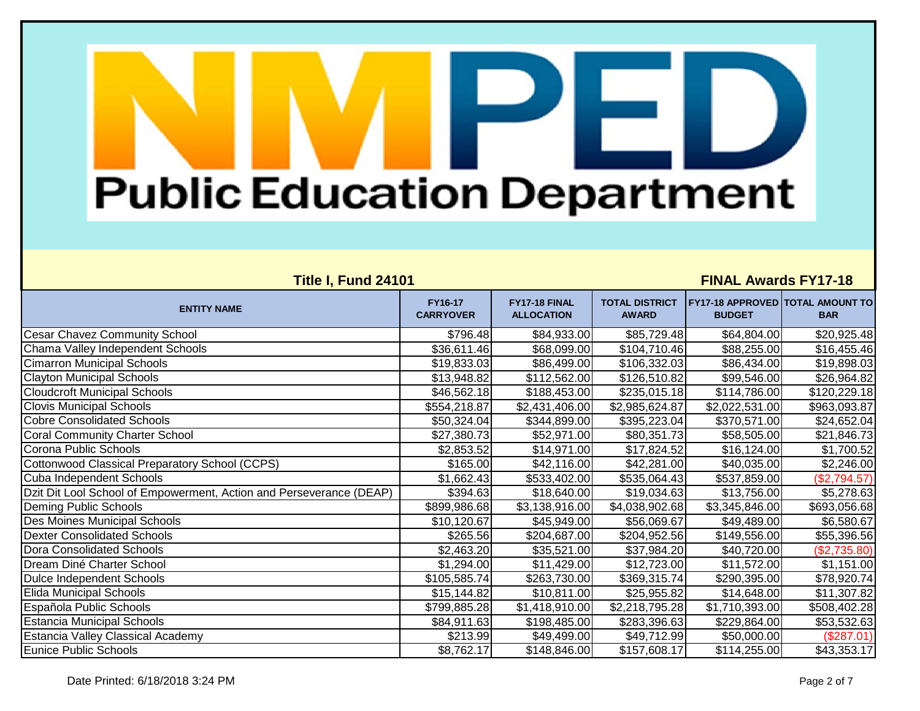| Title I, Fund 24101                                                 |                             |                                    |                                       | <b>FINAL Awards FY17-18</b>                              |                          |
|---------------------------------------------------------------------|-----------------------------|------------------------------------|---------------------------------------|----------------------------------------------------------|--------------------------|
| <b>ENTITY NAME</b>                                                  | FY16-17<br><b>CARRYOVER</b> | FY17-18 FINAL<br><b>ALLOCATION</b> | <b>TOTAL DISTRICT</b><br><b>AWARD</b> | <b>FY17-18 APPROVED TOTAL AMOUNT TO</b><br><b>BUDGET</b> | <b>BAR</b>               |
| <b>Cesar Chavez Community School</b>                                | \$796.48                    | \$84,933.00                        | \$85,729.48                           | \$64,804.00                                              | \$20,925.48              |
| Chama Valley Independent Schools                                    | \$36,611.46                 | \$68,099.00                        | \$104,710.46                          | \$88,255.00                                              | \$16,455.46              |
| <b>Cimarron Municipal Schools</b>                                   | \$19,833.03                 | \$86,499.00                        | \$106,332.03                          | \$86,434.00                                              | \$19,898.03              |
| <b>Clayton Municipal Schools</b>                                    | \$13,948.82                 | \$112,562.00                       | \$126,510.82                          | \$99,546.00                                              | \$26,964.82              |
| <b>Cloudcroft Municipal Schools</b>                                 | \$46,562.18                 | \$188,453.00                       | \$235,015.18                          | \$114,786.00                                             | $\overline{$120,229.18}$ |
| <b>Clovis Municipal Schools</b>                                     | \$554,218.87                | \$2,431,406.00                     | \$2,985,624.87                        | \$2,022,531.00                                           | \$963,093.87             |
| <b>Cobre Consolidated Schools</b>                                   | \$50,324.04                 | \$344,899.00                       | \$395,223.04                          | \$370,571.00                                             | \$24,652.04              |
| <b>Coral Community Charter School</b>                               | \$27,380.73                 | \$52,971.00                        | \$80,351.73                           | \$58,505.00                                              | \$21,846.73              |
| Corona Public Schools                                               | \$2,853.52                  | \$14,971.00                        | \$17,824.52                           | \$16,124.00                                              | \$1,700.52               |
| Cottonwood Classical Preparatory School (CCPS)                      | \$165.00                    | \$42,116.00                        | \$42,281.00                           | \$40,035.00                                              | \$2,246.00               |
| Cuba Independent Schools                                            | \$1,662.43                  | \$533,402.00                       | \$535,064.43                          | \$537,859.00                                             | (\$2,794.57)             |
| Dzit Dit Lool School of Empowerment, Action and Perseverance (DEAP) | \$394.63                    | \$18,640.00                        | \$19,034.63                           | \$13,756.00                                              | \$5,278.63               |
| Deming Public Schools                                               | \$899,986.68                | \$3,138,916.00                     | \$4,038,902.68                        | \$3,345,846.00                                           | \$693,056.68             |
| Des Moines Municipal Schools                                        | \$10,120.67                 | \$45,949.00                        | \$56,069.67                           | \$49,489.00                                              | \$6,580.67               |
| <b>Dexter Consolidated Schools</b>                                  | \$265.56                    | \$204,687.00                       | \$204,952.56                          | \$149,556.00                                             | \$55,396.56              |
| <b>Dora Consolidated Schools</b>                                    | \$2,463.20                  | \$35,521.00                        | \$37,984.20                           | \$40,720.00                                              | (\$2,735.80)             |
| Dream Diné Charter School                                           | \$1,294.00                  | \$11,429.00                        | \$12,723.00                           | \$11,572.00                                              | \$1,151.00               |
| Dulce Independent Schools                                           | \$105,585.74                | \$263,730.00                       | \$369,315.74                          | \$290,395.00                                             | \$78,920.74              |
| Elida Municipal Schools                                             | \$15,144.82                 | \$10,811.00                        | \$25,955.82                           | \$14,648.00                                              | \$11,307.82              |
| Española Public Schools                                             | \$799,885.28                | \$1,418,910.00                     | \$2,218,795.28                        | \$1,710,393.00                                           | \$508,402.28             |
| <b>Estancia Municipal Schools</b>                                   | \$84,911.63                 | \$198,485.00                       | \$283,396.63                          | \$229,864.00                                             | \$53,532.63              |
| <b>Estancia Valley Classical Academy</b>                            | \$213.99                    | \$49,499.00                        | \$49,712.99                           | \$50,000.00                                              | (\$287.01)               |
| Eunice Public Schools                                               | \$8,762.17                  | \$148,846.00                       | \$157,608.17                          | \$114,255.00                                             | \$43,353.17              |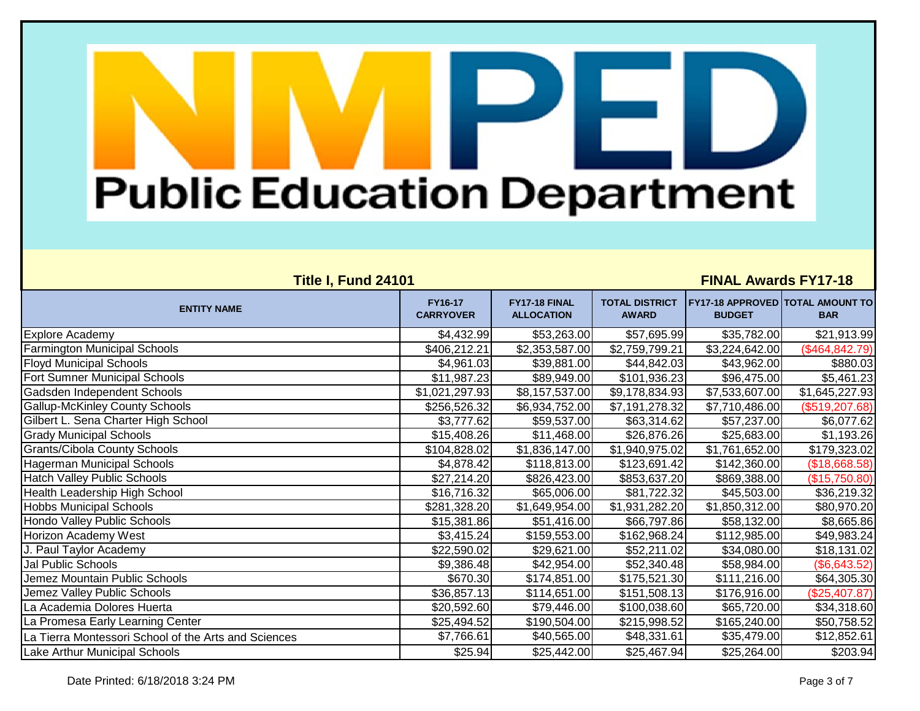| <b>Title I, Fund 24101</b>                           |                             |                                    |                                       | <b>FINAL Awards FY17-18</b>                              |                 |
|------------------------------------------------------|-----------------------------|------------------------------------|---------------------------------------|----------------------------------------------------------|-----------------|
| <b>ENTITY NAME</b>                                   | FY16-17<br><b>CARRYOVER</b> | FY17-18 FINAL<br><b>ALLOCATION</b> | <b>TOTAL DISTRICT</b><br><b>AWARD</b> | <b>FY17-18 APPROVED TOTAL AMOUNT TO</b><br><b>BUDGET</b> | <b>BAR</b>      |
| Explore Academy                                      | \$4,432.99                  | \$53,263.00                        | \$57,695.99                           | \$35,782.00                                              | \$21,913.99     |
| <b>Farmington Municipal Schools</b>                  | \$406,212.21                | \$2,353,587.00                     | \$2,759,799.21                        | \$3,224,642.00                                           | (\$464, 842.79) |
| <b>Floyd Municipal Schools</b>                       | \$4,961.03                  | \$39,881.00                        | \$44,842.03                           | \$43,962.00                                              | \$880.03        |
| Fort Sumner Municipal Schools                        | \$11,987.23                 | \$89,949.00                        | \$101,936.23                          | \$96,475.00                                              | \$5,461.23      |
| Gadsden Independent Schools                          | \$1,021,297.93              | \$8,157,537.00                     | \$9,178,834.93                        | \$7,533,607.00                                           | \$1,645,227.93  |
| <b>Gallup-McKinley County Schools</b>                | \$256,526.32                | \$6,934,752.00                     | \$7,191,278.32                        | \$7,710,486.00                                           | (\$519, 207.68) |
| Gilbert L. Sena Charter High School                  | \$3,777.62                  | \$59,537.00                        | \$63,314.62                           | \$57,237.00                                              | \$6,077.62      |
| <b>Grady Municipal Schools</b>                       | \$15,408.26                 | \$11,468.00                        | \$26,876.26                           | \$25,683.00                                              | \$1,193.26      |
| <b>Grants/Cibola County Schools</b>                  | \$104,828.02                | \$1,836,147.00                     | \$1,940,975.02                        | \$1,761,652.00                                           | \$179,323.02    |
| <b>Hagerman Municipal Schools</b>                    | \$4,878.42                  | \$118,813.00                       | \$123,691.42                          | \$142,360.00                                             | (\$18,668.58)   |
| <b>Hatch Valley Public Schools</b>                   | \$27,214.20                 | \$826,423.00                       | \$853,637.20                          | \$869,388.00                                             | (\$15,750.80)   |
| Health Leadership High School                        | \$16,716.32                 | \$65,006.00                        | \$81,722.32                           | \$45,503.00                                              | \$36,219.32     |
| <b>Hobbs Municipal Schools</b>                       | \$281,328.20                | \$1,649,954.00                     | \$1,931,282.20                        | \$1,850,312.00                                           | \$80,970.20     |
| Hondo Valley Public Schools                          | \$15,381.86                 | \$51,416.00                        | \$66,797.86                           | \$58,132.00                                              | \$8,665.86      |
| Horizon Academy West                                 | \$3,415.24                  | \$159,553.00                       | \$162,968.24                          | \$112,985.00                                             | \$49,983.24     |
| J. Paul Taylor Academy                               | \$22,590.02                 | \$29,621.00                        | \$52,211.02                           | \$34,080.00                                              | \$18,131.02     |
| Jal Public Schools                                   | \$9,386.48                  | \$42,954.00                        | \$52,340.48                           | \$58,984.00                                              | (\$6,643.52)    |
| Jemez Mountain Public Schools                        | \$670.30                    | \$174,851.00                       | \$175,521.30                          | \$111,216.00                                             | \$64,305.30     |
| Jemez Valley Public Schools                          | \$36,857.13                 | \$114,651.00                       | \$151,508.13                          | \$176,916.00                                             | (\$25,407.87)   |
| La Academia Dolores Huerta                           | \$20,592.60                 | \$79,446.00                        | \$100,038.60                          | \$65,720.00                                              | \$34,318.60     |
| La Promesa Early Learning Center                     | \$25,494.52                 | \$190,504.00                       | \$215,998.52                          | \$165,240.00                                             | \$50,758.52     |
| La Tierra Montessori School of the Arts and Sciences | \$7,766.61                  | \$40,565.00                        | \$48,331.61                           | \$35,479.00                                              | \$12,852.61     |
| Lake Arthur Municipal Schools                        | \$25.94                     | \$25,442.00                        | \$25,467.94                           | \$25,264.00                                              | \$203.94        |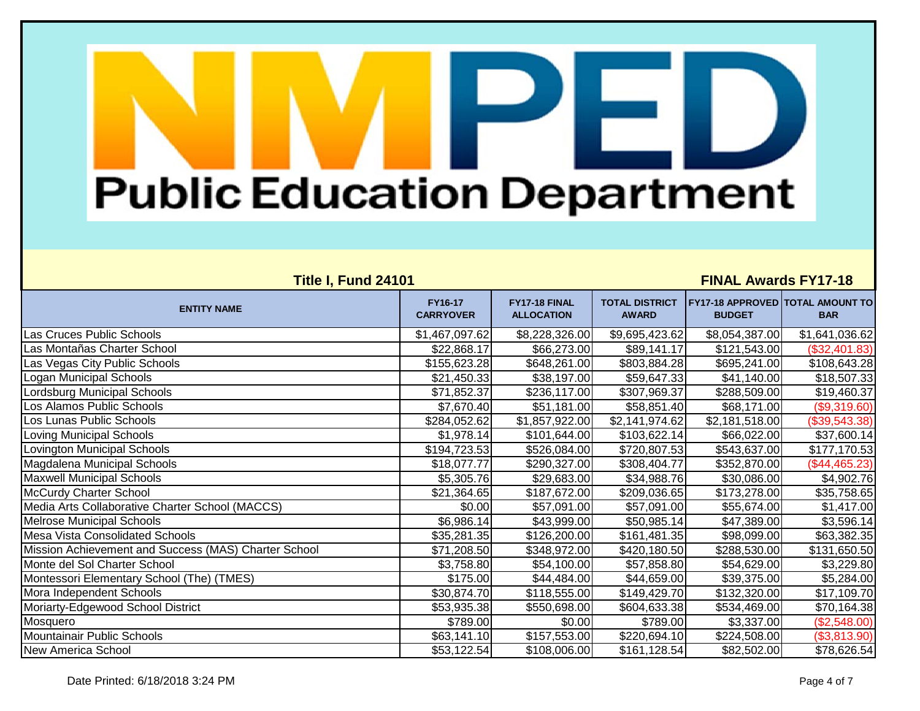| Title I, Fund 24101                                  |                             |                                    |                                       | <b>FINAL Awards FY17-18</b>                              |                |
|------------------------------------------------------|-----------------------------|------------------------------------|---------------------------------------|----------------------------------------------------------|----------------|
| <b>ENTITY NAME</b>                                   | FY16-17<br><b>CARRYOVER</b> | FY17-18 FINAL<br><b>ALLOCATION</b> | <b>TOTAL DISTRICT</b><br><b>AWARD</b> | <b>FY17-18 APPROVED TOTAL AMOUNT TO</b><br><b>BUDGET</b> | <b>BAR</b>     |
| Las Cruces Public Schools                            | \$1,467,097.62              | \$8,228,326.00                     | \$9,695,423.62                        | \$8,054,387.00                                           | \$1,641,036.62 |
| Las Montañas Charter School                          | \$22,868.17                 | \$66,273.00                        | \$89,141.17                           | \$121,543.00                                             | (\$32,401.83)  |
| Las Vegas City Public Schools                        | \$155,623.28                | \$648,261.00                       | \$803,884.28                          | \$695,241.00                                             | \$108,643.28   |
| Logan Municipal Schools                              | \$21,450.33                 | \$38,197.00                        | \$59,647.33                           | \$41,140.00                                              | \$18,507.33    |
| Lordsburg Municipal Schools                          | \$71,852.37                 | \$236,117.00                       | \$307,969.37                          | \$288,509.00                                             | \$19,460.37    |
| Los Alamos Public Schools                            | \$7,670.40                  | \$51,181.00                        | \$58,851.40                           | \$68,171.00                                              | (\$9,319.60)   |
| Los Lunas Public Schools                             | \$284,052.62                | \$1,857,922.00                     | \$2,141,974.62                        | \$2,181,518.00                                           | (\$39,543.38)  |
| <b>Loving Municipal Schools</b>                      | \$1,978.14                  | \$101,644.00                       | \$103,622.14                          | \$66,022.00                                              | \$37,600.14    |
| Lovington Municipal Schools                          | \$194,723.53                | \$526,084.00                       | \$720,807.53                          | \$543,637.00                                             | \$177,170.53   |
| Magdalena Municipal Schools                          | \$18,077.77                 | \$290,327.00                       | \$308,404.77                          | \$352,870.00                                             | (\$44,465.23)  |
| <b>Maxwell Municipal Schools</b>                     | \$5,305.76                  | \$29,683.00                        | \$34,988.76                           | \$30,086.00                                              | \$4,902.76     |
| <b>McCurdy Charter School</b>                        | \$21,364.65                 | \$187,672.00                       | \$209,036.65                          | \$173,278.00                                             | \$35,758.65    |
| Media Arts Collaborative Charter School (MACCS)      | \$0.00                      | \$57,091.00                        | \$57,091.00                           | \$55,674.00                                              | \$1,417.00     |
| <b>Melrose Municipal Schools</b>                     | \$6,986.14                  | \$43,999.00                        | \$50,985.14                           | \$47,389.00                                              | \$3,596.14     |
| <b>Mesa Vista Consolidated Schools</b>               | \$35,281.35                 | \$126,200.00                       | \$161,481.35                          | \$98,099.00                                              | \$63,382.35    |
| Mission Achievement and Success (MAS) Charter School | \$71,208.50                 | \$348,972.00                       | \$420,180.50                          | \$288,530.00                                             | \$131,650.50   |
| Monte del Sol Charter School                         | \$3,758.80                  | \$54,100.00                        | \$57,858.80                           | \$54,629.00                                              | \$3,229.80     |
| Montessori Elementary School (The) (TMES)            | \$175.00                    | \$44,484.00                        | \$44,659.00                           | \$39,375.00                                              | \$5,284.00     |
| Mora Independent Schools                             | \$30,874.70                 | \$118,555.00                       | \$149,429.70                          | \$132,320.00                                             | \$17,109.70    |
| Moriarty-Edgewood School District                    | \$53,935.38                 | \$550,698.00                       | \$604,633.38                          | \$534,469.00                                             | \$70,164.38    |
| Mosquero                                             | \$789.00                    | \$0.00                             | \$789.00                              | \$3,337.00                                               | (\$2,548.00)   |
| Mountainair Public Schools                           | \$63,141.10                 | \$157,553.00                       | \$220,694.10                          | \$224,508.00                                             | (\$3,813.90)   |
| <b>New America School</b>                            | \$53,122.54                 | \$108,006.00                       | \$161,128.54                          | \$82,502.00                                              | \$78,626.54    |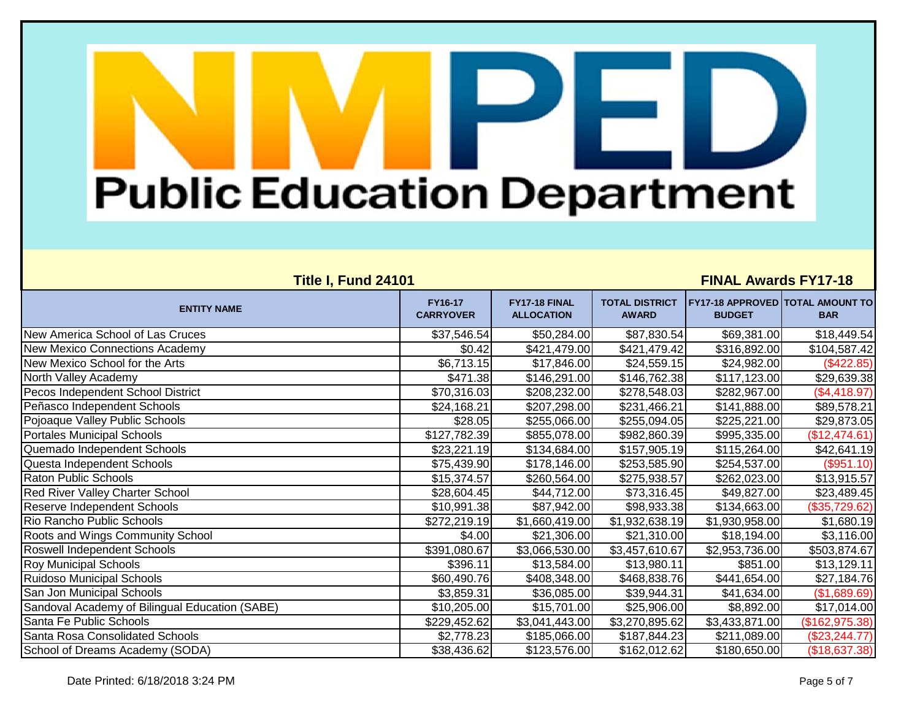| <b>Title I, Fund 24101</b>                     |                             |                                    | <b>FINAL Awards FY17-18</b>           |                                                          |                  |  |
|------------------------------------------------|-----------------------------|------------------------------------|---------------------------------------|----------------------------------------------------------|------------------|--|
| <b>ENTITY NAME</b>                             | FY16-17<br><b>CARRYOVER</b> | FY17-18 FINAL<br><b>ALLOCATION</b> | <b>TOTAL DISTRICT</b><br><b>AWARD</b> | <b>FY17-18 APPROVED TOTAL AMOUNT TO</b><br><b>BUDGET</b> | <b>BAR</b>       |  |
| New America School of Las Cruces               | \$37,546.54                 | \$50,284.00                        | \$87,830.54                           | \$69,381.00                                              | \$18,449.54      |  |
| New Mexico Connections Academy                 | \$0.42                      | \$421,479.00                       | \$421,479.42                          | \$316,892.00                                             | \$104,587.42     |  |
| New Mexico School for the Arts                 | \$6,713.15                  | \$17,846.00                        | \$24,559.15                           | \$24,982.00                                              | (\$422.85)       |  |
| North Valley Academy                           | \$471.38                    | \$146,291.00                       | \$146,762.38                          | \$117,123.00                                             | \$29,639.38      |  |
| Pecos Independent School District              | \$70,316.03                 | \$208,232.00                       | \$278,548.03                          | \$282,967.00                                             | (\$4,418.97)     |  |
| Peñasco Independent Schools                    | \$24,168.21                 | \$207,298.00                       | \$231,466.21                          | \$141,888.00                                             | \$89,578.21      |  |
| Pojoaque Valley Public Schools                 | \$28.05                     | \$255,066.00                       | \$255,094.05                          | \$225,221.00                                             | \$29,873.05      |  |
| <b>Portales Municipal Schools</b>              | \$127,782.39                | \$855,078.00                       | \$982,860.39                          | \$995,335.00                                             | (\$12,474.61)    |  |
| Quemado Independent Schools                    | \$23,221.19                 | \$134,684.00                       | \$157,905.19                          | \$115,264.00                                             | \$42,641.19      |  |
| Questa Independent Schools                     | \$75,439.90                 | \$178,146.00                       | \$253,585.90                          | \$254,537.00                                             | (\$951.10)       |  |
| <b>Raton Public Schools</b>                    | \$15,374.57                 | \$260,564.00                       | \$275,938.57                          | \$262,023.00                                             | \$13,915.57      |  |
| <b>Red River Valley Charter School</b>         | \$28,604.45                 | \$44,712.00                        | \$73,316.45                           | \$49,827.00                                              | \$23,489.45      |  |
| Reserve Independent Schools                    | \$10,991.38                 | \$87,942.00                        | \$98,933.38                           | \$134,663.00                                             | (\$35,729.62)    |  |
| Rio Rancho Public Schools                      | \$272,219.19                | \$1,660,419.00                     | \$1,932,638.19                        | \$1,930,958.00                                           | \$1,680.19       |  |
| Roots and Wings Community School               | \$4.00                      | \$21,306.00                        | \$21,310.00                           | \$18,194.00                                              | \$3,116.00       |  |
| Roswell Independent Schools                    | \$391,080.67                | \$3,066,530.00                     | \$3,457,610.67                        | \$2,953,736.00                                           | \$503,874.67     |  |
| <b>Roy Municipal Schools</b>                   | \$396.11                    | \$13,584.00                        | \$13,980.11                           | \$851.00                                                 | \$13,129.11      |  |
| <b>Ruidoso Municipal Schools</b>               | \$60,490.76                 | \$408,348.00                       | \$468,838.76                          | \$441,654.00                                             | \$27,184.76      |  |
| San Jon Municipal Schools                      | \$3,859.31                  | \$36,085.00                        | \$39,944.31                           | \$41,634.00                                              | (\$1,689.69)     |  |
| Sandoval Academy of Bilingual Education (SABE) | \$10,205.00                 | \$15,701.00                        | \$25,906.00                           | \$8,892.00                                               | \$17,014.00      |  |
| Santa Fe Public Schools                        | \$229,452.62                | \$3,041,443.00                     | \$3,270,895.62                        | \$3,433,871.00                                           | (\$162,975.38)   |  |
| Santa Rosa Consolidated Schools                | \$2,778.23                  | \$185,066.00                       | \$187,844.23                          | \$211,089.00                                             | $(\$23, 244.77)$ |  |
| School of Dreams Academy (SODA)                | \$38,436.62                 | \$123,576.00                       | \$162,012.62                          | \$180,650.00                                             | (\$18,637.38)    |  |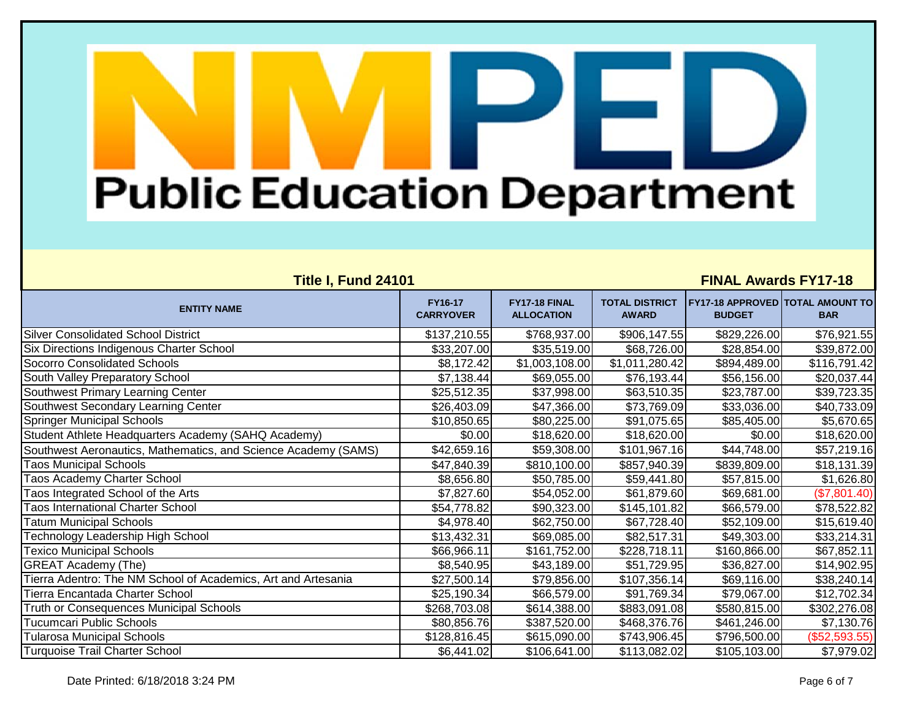| Title I, Fund 24101                                            |                                    |                                    |                                       | <b>FINAL Awards FY17-18</b>                              |               |
|----------------------------------------------------------------|------------------------------------|------------------------------------|---------------------------------------|----------------------------------------------------------|---------------|
| <b>ENTITY NAME</b>                                             | <b>FY16-17</b><br><b>CARRYOVER</b> | FY17-18 FINAL<br><b>ALLOCATION</b> | <b>TOTAL DISTRICT</b><br><b>AWARD</b> | <b>FY17-18 APPROVED TOTAL AMOUNT TO</b><br><b>BUDGET</b> | <b>BAR</b>    |
| <b>Silver Consolidated School District</b>                     | \$137,210.55                       | \$768,937.00                       | \$906,147.55                          | \$829,226.00                                             | \$76,921.55   |
| Six Directions Indigenous Charter School                       | \$33,207.00                        | \$35,519.00                        | \$68,726.00                           | \$28,854.00                                              | \$39,872.00   |
| Socorro Consolidated Schools                                   | \$8,172.42                         | \$1,003,108.00                     | \$1,011,280.42                        | \$894,489.00                                             | \$116,791.42  |
| South Valley Preparatory School                                | \$7,138.44                         | \$69,055.00                        | \$76,193.44                           | \$56,156.00                                              | \$20,037.44   |
| Southwest Primary Learning Center                              | \$25,512.35                        | \$37,998.00                        | \$63,510.35                           | \$23,787.00                                              | \$39,723.35   |
| Southwest Secondary Learning Center                            | \$26,403.09                        | \$47,366.00                        | \$73,769.09                           | \$33,036.00                                              | \$40,733.09   |
| <b>Springer Municipal Schools</b>                              | \$10,850.65                        | \$80,225.00                        | \$91,075.65                           | \$85,405.00                                              | \$5,670.65    |
| Student Athlete Headquarters Academy (SAHQ Academy)            | \$0.00                             | \$18,620.00                        | \$18,620.00                           | \$0.00                                                   | \$18,620.00   |
| Southwest Aeronautics, Mathematics, and Science Academy (SAMS) | \$42,659.16                        | \$59,308.00                        | \$101,967.16                          | \$44,748.00                                              | \$57,219.16   |
| <b>Taos Municipal Schools</b>                                  | \$47,840.39                        | \$810,100.00                       | \$857,940.39                          | \$839,809.00                                             | \$18,131.39   |
| <b>Taos Academy Charter School</b>                             | \$8,656.80                         | \$50,785.00                        | \$59,441.80                           | \$57,815.00                                              | \$1,626.80    |
| Taos Integrated School of the Arts                             | \$7,827.60                         | \$54,052.00                        | \$61,879.60                           | \$69,681.00                                              | (\$7,801.40)  |
| <b>Taos International Charter School</b>                       | \$54,778.82                        | \$90,323.00                        | \$145,101.82                          | \$66,579.00                                              | \$78,522.82   |
| <b>Tatum Municipal Schools</b>                                 | \$4,978.40                         | \$62,750.00                        | \$67,728.40                           | \$52,109.00                                              | \$15,619.40   |
| Technology Leadership High School                              | \$13,432.31                        | \$69,085.00                        | \$82,517.31                           | \$49,303.00                                              | \$33,214.31   |
| <b>Texico Municipal Schools</b>                                | \$66,966.11                        | \$161,752.00                       | \$228,718.11                          | \$160,866.00                                             | \$67,852.11   |
| <b>GREAT Academy (The)</b>                                     | \$8,540.95                         | \$43,189.00                        | \$51,729.95                           | \$36,827.00                                              | \$14,902.95   |
| Tierra Adentro: The NM School of Academics, Art and Artesania  | \$27,500.14                        | \$79,856.00                        | \$107,356.14                          | \$69,116.00                                              | \$38,240.14   |
| Tierra Encantada Charter School                                | \$25,190.34                        | \$66,579.00                        | \$91,769.34                           | \$79,067.00                                              | \$12,702.34   |
| Truth or Consequences Municipal Schools                        | \$268,703.08                       | \$614,388.00                       | \$883,091.08                          | \$580,815.00                                             | \$302,276.08  |
| Tucumcari Public Schools                                       | \$80,856.76                        | \$387,520.00                       | \$468,376.76                          | \$461,246.00                                             | \$7,130.76    |
| <b>Tularosa Municipal Schools</b>                              | \$128,816.45                       | \$615,090.00                       | \$743,906.45                          | \$796,500.00                                             | (\$52,593.55) |
| Turquoise Trail Charter School                                 | \$6,441.02                         | \$106,641.00                       | \$113,082.02                          | \$105,103.00                                             | \$7,979.02    |